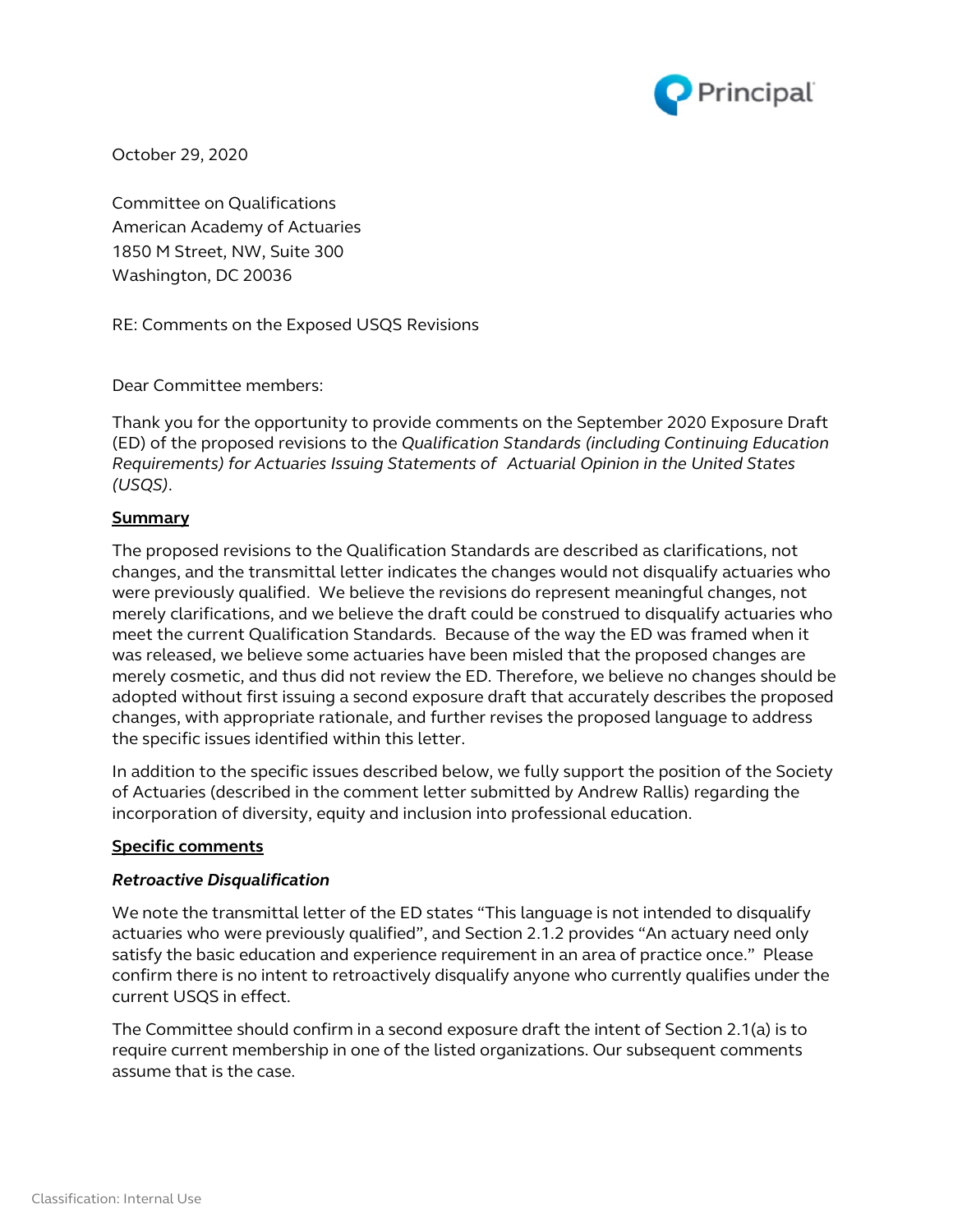

October 29, 2020

Committee on Qualifications American Academy of Actuaries 1850 M Street, NW, Suite 300 Washington, DC 20036

RE: Comments on the Exposed USQS Revisions

Dear Committee members:

Thank you for the opportunity to provide comments on the September 2020 Exposure Draft (ED) of the proposed revisions to the *Qualification Standards (including Continuing Education Requirements) for Actuaries Issuing Statements of Actuarial Opinion in the United States (USQS)*.

## **Summary**

The proposed revisions to the Qualification Standards are described as clarifications, not changes, and the transmittal letter indicates the changes would not disqualify actuaries who were previously qualified. We believe the revisions do represent meaningful changes, not merely clarifications, and we believe the draft could be construed to disqualify actuaries who meet the current Qualification Standards. Because of the way the ED was framed when it was released, we believe some actuaries have been misled that the proposed changes are merely cosmetic, and thus did not review the ED. Therefore, we believe no changes should be adopted without first issuing a second exposure draft that accurately describes the proposed changes, with appropriate rationale, and further revises the proposed language to address the specific issues identified within this letter.

In addition to the specific issues described below, we fully support the position of the Society of Actuaries (described in the comment letter submitted by Andrew Rallis) regarding the incorporation of diversity, equity and inclusion into professional education.

## **Specific comments**

## *Retroactive Disqualification*

We note the transmittal letter of the ED states "This language is not intended to disqualify actuaries who were previously qualified", and Section 2.1.2 provides "An actuary need only satisfy the basic education and experience requirement in an area of practice once." Please confirm there is no intent to retroactively disqualify anyone who currently qualifies under the current USQS in effect.

The Committee should confirm in a second exposure draft the intent of Section 2.1(a) is to require current membership in one of the listed organizations. Our subsequent comments assume that is the case.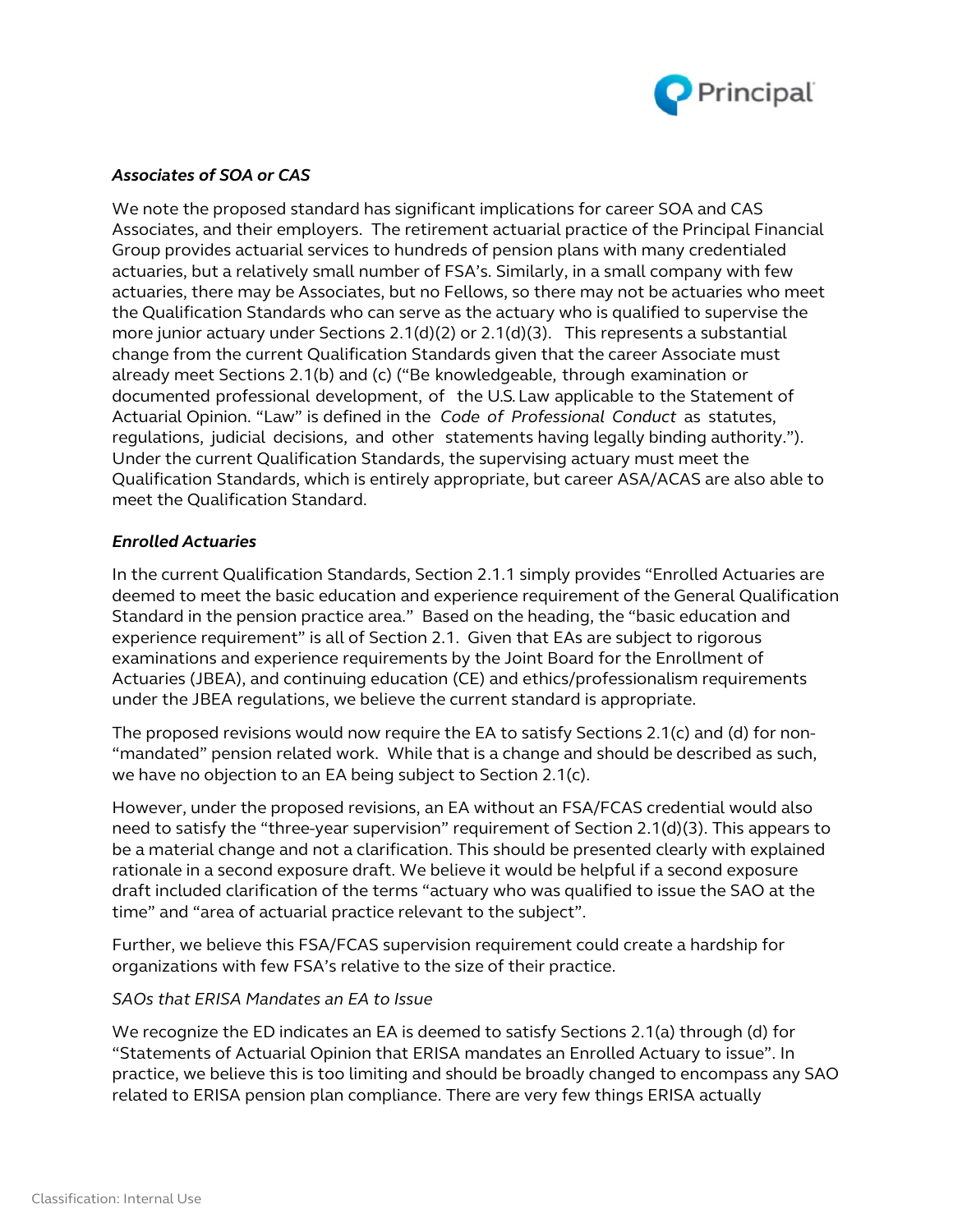

# *Associates of SOA or CAS*

We note the proposed standard has significant implications for career SOA and CAS Associates, and their employers. The retirement actuarial practice of the Principal Financial Group provides actuarial services to hundreds of pension plans with many credentialed actuaries, but a relatively small number of FSA's. Similarly, in a small company with few actuaries, there may be Associates, but no Fellows, so there may not be actuaries who meet the Qualification Standards who can serve as the actuary who is qualified to supervise the more junior actuary under Sections 2.1(d)(2) or 2.1(d)(3). This represents a substantial change from the current Qualification Standards given that the career Associate must already meet Sections 2.1(b) and (c) ("Be knowledgeable, through examination or documented professional development, of the U.S.Law applicable to the Statement of Actuarial Opinion. "Law" is defined in the *Code of Professional Conduct* as statutes, regulations, judicial decisions, and other statements having legally binding authority."). Under the current Qualification Standards, the supervising actuary must meet the Qualification Standards, which is entirely appropriate, but career ASA/ACAS are also able to meet the Qualification Standard.

## *Enrolled Actuaries*

In the current Qualification Standards, Section 2.1.1 simply provides "Enrolled Actuaries are deemed to meet the basic education and experience requirement of the General Qualification Standard in the pension practice area." Based on the heading, the "basic education and experience requirement" is all of Section 2.1. Given that EAs are subject to rigorous examinations and experience requirements by the Joint Board for the Enrollment of Actuaries (JBEA), and continuing education (CE) and ethics/professionalism requirements under the JBEA regulations, we believe the current standard is appropriate.

The proposed revisions would now require the EA to satisfy Sections 2.1(c) and (d) for non- "mandated" pension related work. While that is a change and should be described as such, we have no objection to an EA being subject to Section 2.1(c).

However, under the proposed revisions, an EA without an FSA/FCAS credential would also need to satisfy the "three-year supervision" requirement of Section 2.1(d)(3). This appears to be a material change and not a clarification. This should be presented clearly with explained rationale in a second exposure draft. We believe it would be helpful if a second exposure draft included clarification of the terms "actuary who was qualified to issue the SAO at the time" and "area of actuarial practice relevant to the subject".

Further, we believe this FSA/FCAS supervision requirement could create a hardship for organizations with few FSA's relative to the size of their practice.

## *SAOs that ERISA Mandates an EA to Issue*

We recognize the ED indicates an EA is deemed to satisfy Sections 2.1(a) through (d) for "Statements of Actuarial Opinion that ERISA mandates an Enrolled Actuary to issue". In practice, we believe this is too limiting and should be broadly changed to encompass any SAO related to ERISA pension plan compliance. There are very few things ERISA actually